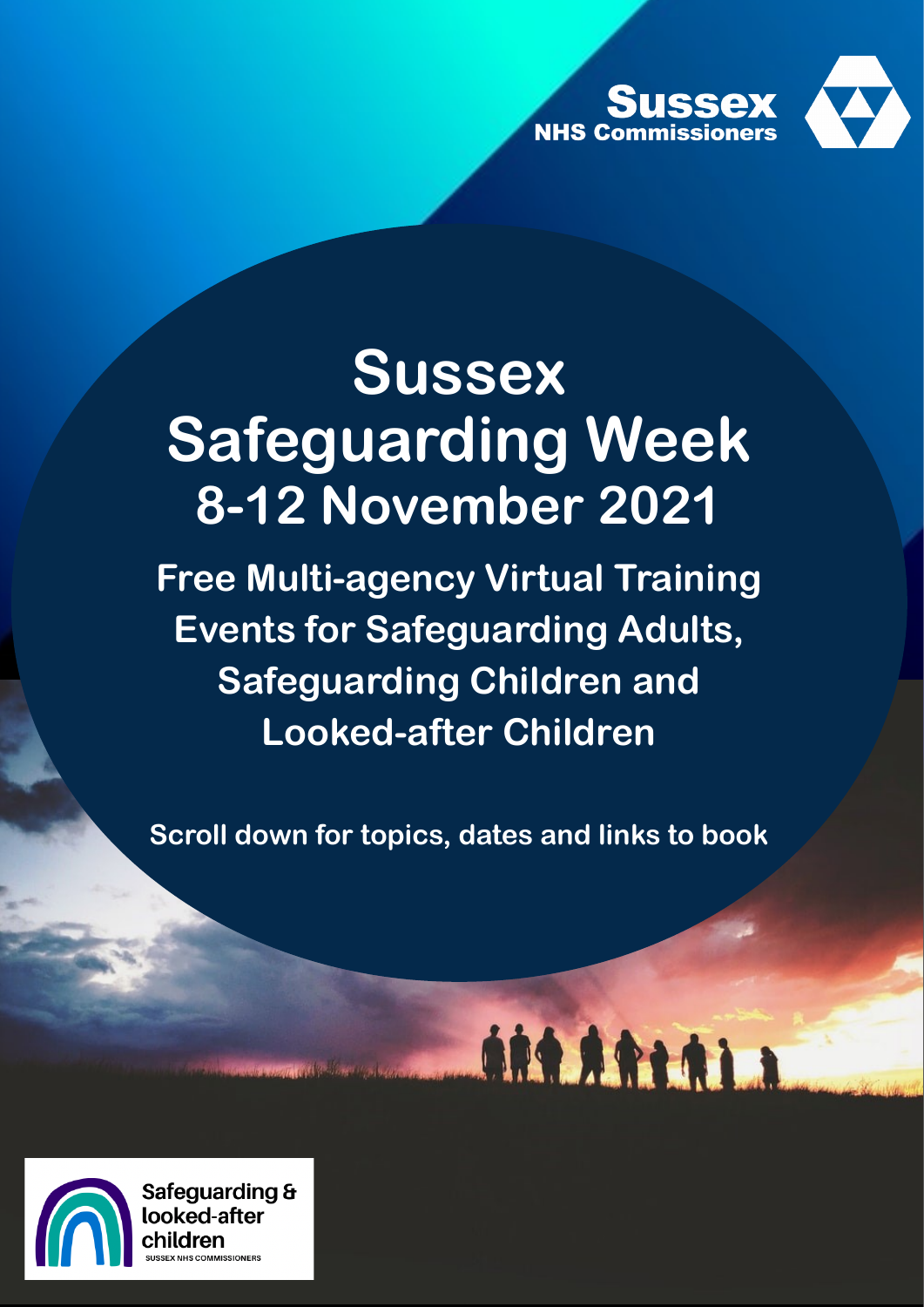

# **Sussex Safeguarding Week 8-12 November 2021**

**Free Multi-agency Virtual Training Events for Safeguarding Adults, Safeguarding Children and Looked-after Children**

**Scroll down for topics, dates and links to book** 

ART ARTAIN



Safeguarding & looked-after hildren